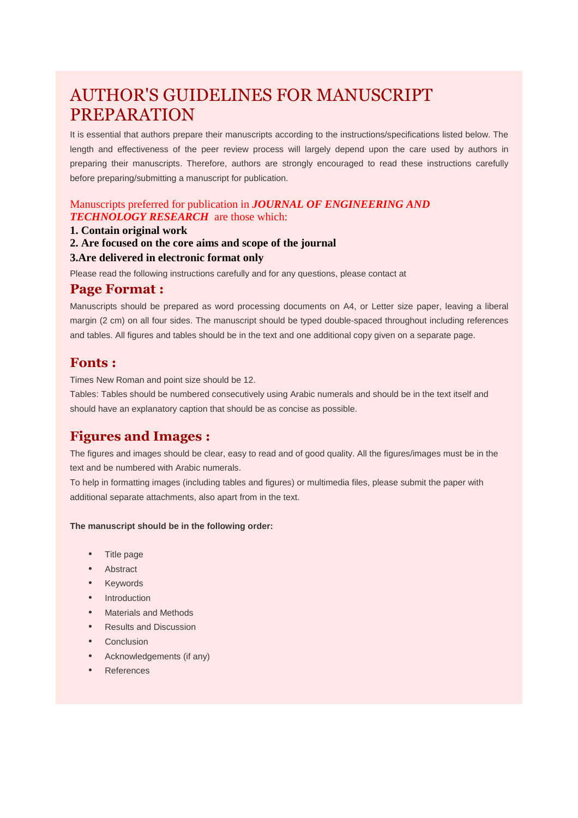# AUTHOR'S GUIDELINES FOR MANUSCRIPT PREPARATION

It is essential that authors prepare their manuscripts according to the instructions/specifications listed below. The length and effectiveness of the peer review process will largely depend upon the care used by authors in preparing their manuscripts. Therefore, authors are strongly encouraged to read these instructions carefully before preparing/submitting a manuscript for publication.

#### Manuscripts preferred for publication in *JOURNAL OF ENGINEERING AND TECHNOLOGY RESEARCH* are those which:

#### **1. Contain original work**

**2. Are focused on the core aims and scope of the journal** 

#### **3.Are delivered in electronic format only**

Please read the following instructions carefully and for any questions, please contact at

#### **Page Format :**

Manuscripts should be prepared as word processing documents on A4, or Letter size paper, leaving a liberal margin (2 cm) on all four sides. The manuscript should be typed double-spaced throughout including references and tables. All figures and tables should be in the text and one additional copy given on a separate page.

#### **Fonts :**

Times New Roman and point size should be 12.

Tables: Tables should be numbered consecutively using Arabic numerals and should be in the text itself and should have an explanatory caption that should be as concise as possible.

### **Figures and Images :**

The figures and images should be clear, easy to read and of good quality. All the figures/images must be in the text and be numbered with Arabic numerals.

To help in formatting images (including tables and figures) or multimedia files, please submit the paper with additional separate attachments, also apart from in the text.

#### **The manuscript should be in the following order:**

- Title page
- Abstract
- **Keywords**
- Introduction
- Materials and Methods
- Results and Discussion
- **Conclusion**
- Acknowledgements (if any)
- **References**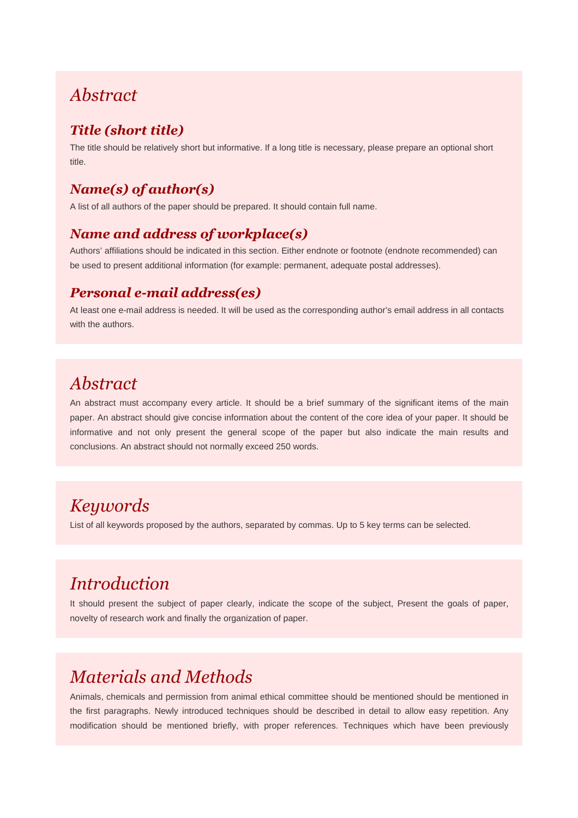### *Abstract*

### *Title (short title)*

The title should be relatively short but informative. If a long title is necessary, please prepare an optional short title.

### *Name(s) of author(s)*

A list of all authors of the paper should be prepared. It should contain full name.

### *Name and address of workplace(s)*

Authors' affiliations should be indicated in this section. Either endnote or footnote (endnote recommended) can be used to present additional information (for example: permanent, adequate postal addresses).

#### *Personal e-mail address(es)*

At least one e-mail address is needed. It will be used as the corresponding author's email address in all contacts with the authors.

### *Abstract*

An abstract must accompany every article. It should be a brief summary of the significant items of the main paper. An abstract should give concise information about the content of the core idea of your paper. It should be informative and not only present the general scope of the paper but also indicate the main results and conclusions. An abstract should not normally exceed 250 words.

# *Keywords*

List of all keywords proposed by the authors, separated by commas. Up to 5 key terms can be selected.

# *Introduction*

It should present the subject of paper clearly, indicate the scope of the subject, Present the goals of paper, novelty of research work and finally the organization of paper.

# *Materials and Methods*

Animals, chemicals and permission from animal ethical committee should be mentioned should be mentioned in the first paragraphs. Newly introduced techniques should be described in detail to allow easy repetition. Any modification should be mentioned briefly, with proper references. Techniques which have been previously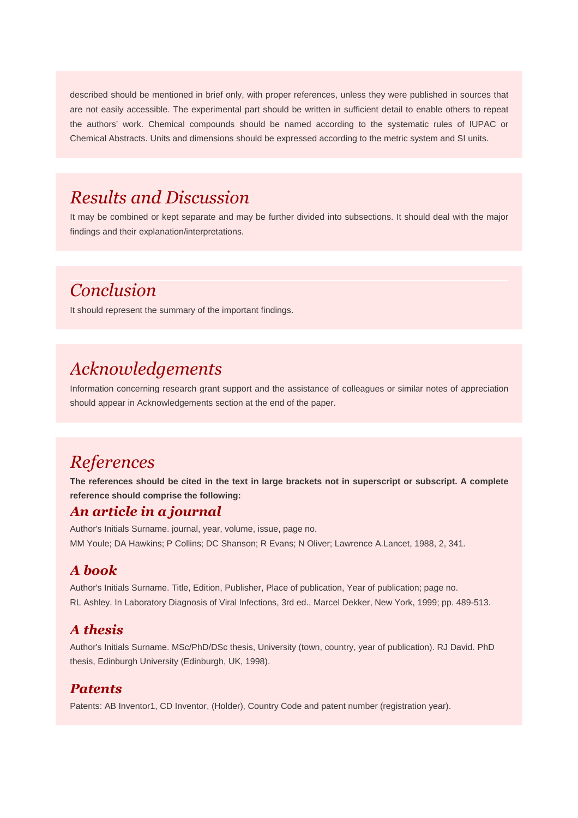described should be mentioned in brief only, with proper references, unless they were published in sources that are not easily accessible. The experimental part should be written in sufficient detail to enable others to repeat the authors' work. Chemical compounds should be named according to the systematic rules of IUPAC or Chemical Abstracts. Units and dimensions should be expressed according to the metric system and SI units.

### *Results and Discussion*

It may be combined or kept separate and may be further divided into subsections. It should deal with the major findings and their explanation/interpretations.

# *Conclusion*

It should represent the summary of the important findings.

### *Acknowledgements*

Information concerning research grant support and the assistance of colleagues or similar notes of appreciation should appear in Acknowledgements section at the end of the paper.

### *References*

**The references should be cited in the text in large brackets not in superscript or subscript. A complete reference should comprise the following:**

#### *An article in a journal*

Author's Initials Surname. journal, year, volume, issue, page no. MM Youle; DA Hawkins; P Collins; DC Shanson; R Evans; N Oliver; Lawrence A.Lancet, 1988, 2, 341.

#### *A book*

Author's Initials Surname. Title, Edition, Publisher, Place of publication, Year of publication; page no. RL Ashley. In Laboratory Diagnosis of Viral Infections, 3rd ed., Marcel Dekker, New York, 1999; pp. 489-513.

#### *A thesis*

Author's Initials Surname. MSc/PhD/DSc thesis, University (town, country, year of publication). RJ David. PhD thesis, Edinburgh University (Edinburgh, UK, 1998).

#### *Patents*

Patents: AB Inventor1, CD Inventor, (Holder), Country Code and patent number (registration year).